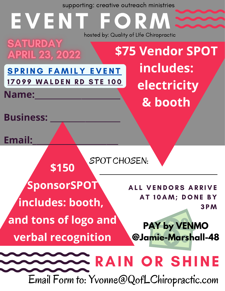| supporting: creative outreach ministries                              |                                                             |
|-----------------------------------------------------------------------|-------------------------------------------------------------|
| EVENT FORM:                                                           | hosted by: Quality of LIfe Chiropractic                     |
| <b>SATURDAY</b><br><b>APRIL 23, 2022</b>                              | <b>\$75 Vendor SPOT</b>                                     |
| <b>SPRING FAMILY EVENT</b><br>17099 WALDEN RD STE 100<br><b>Name:</b> | includes:<br>electricity                                    |
| <b>Business:</b>                                                      | & booth                                                     |
| <b>Email:</b><br>SPOT CHOSEN:                                         |                                                             |
| <b>\$150</b>                                                          |                                                             |
| <b>SponsorSPOT</b><br>includes: booth,                                | <b>ALL VENDORS ARRIVE</b><br>AT 10AM; DONE BY<br><b>3PM</b> |
| and tons of logo and<br><b>verbal recognition</b>                     | <b>PAY by VENMO</b><br>@Jamie-Marshall-48                   |
| Email Form to: Yvonne@QofLChiropractic.com                            | <b>RAIN OR SHINE</b>                                        |